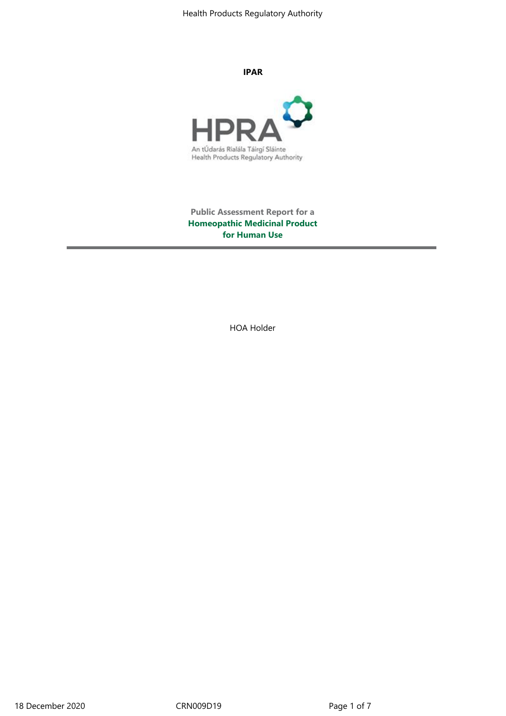Health Products Regulatory Authority

**IPAR**



**Public Assessment Report for a Homeopathic Medicinal Product for Human Use**

HOA Holder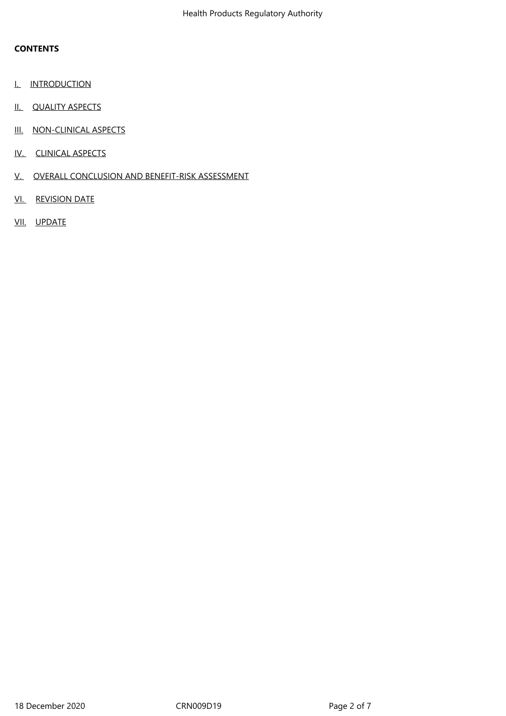# **CONTENTS**

- I. INTRODUCTION
- II. QUALITY ASPECTS
- III. NON-CLINICAL ASPECTS
- IV. CLINICAL ASPECTS
- V. OVERALL CONCLUSION AND BENEFIT-RISK ASSESSMENT
- VI. REVISION DATE
- VII. UPDATE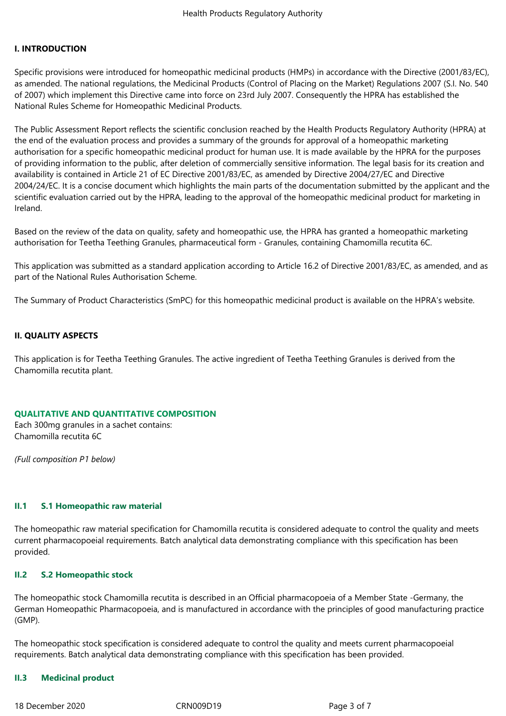### **I. INTRODUCTION**

Specific provisions were introduced for homeopathic medicinal products (HMPs) in accordance with the Directive (2001/83/EC), as amended. The national regulations, the Medicinal Products (Control of Placing on the Market) Regulations 2007 (S.I. No. 540 of 2007) which implement this Directive came into force on 23rd July 2007. Consequently the HPRA has established the National Rules Scheme for Homeopathic Medicinal Products.

The Public Assessment Report reflects the scientific conclusion reached by the Health Products Regulatory Authority (HPRA) at the end of the evaluation process and provides a summary of the grounds for approval of a homeopathic marketing authorisation for a specific homeopathic medicinal product for human use. It is made available by the HPRA for the purposes of providing information to the public, after deletion of commercially sensitive information. The legal basis for its creation and availability is contained in Article 21 of EC Directive 2001/83/EC, as amended by Directive 2004/27/EC and Directive 2004/24/EC. It is a concise document which highlights the main parts of the documentation submitted by the applicant and the scientific evaluation carried out by the HPRA, leading to the approval of the homeopathic medicinal product for marketing in Ireland.

Based on the review of the data on quality, safety and homeopathic use, the HPRA has granted a homeopathic marketing authorisation for Teetha Teething Granules, pharmaceutical form - Granules, containing Chamomilla recutita 6C.

This application was submitted as a standard application according to Article 16.2 of Directive 2001/83/EC, as amended, and as part of the National Rules Authorisation Scheme.

The Summary of Product Characteristics (SmPC) for this homeopathic medicinal product is available on the HPRA's website.

### **II. QUALITY ASPECTS**

This application is for Teetha Teething Granules. The active ingredient of Teetha Teething Granules is derived from the Chamomilla recutita plant.

#### **QUALITATIVE AND QUANTITATIVE COMPOSITION**

Each 300mg granules in a sachet contains: Chamomilla recutita 6C

*(Full composition P1 below)*

### **II.1 S.1 Homeopathic raw material**

The homeopathic raw material specification for Chamomilla recutita is considered adequate to control the quality and meets current pharmacopoeial requirements. Batch analytical data demonstrating compliance with this specification has been provided.

### **II.2 S.2 Homeopathic stock**

The homeopathic stock Chamomilla recutita is described in an Official pharmacopoeia of a Member State -Germany, the German Homeopathic Pharmacopoeia, and is manufactured in accordance with the principles of good manufacturing practice (GMP).

The homeopathic stock specification is considered adequate to control the quality and meets current pharmacopoeial requirements. Batch analytical data demonstrating compliance with this specification has been provided.

### **II.3 Medicinal product**

18 December 2020 CRN009D19 Page 3 of 7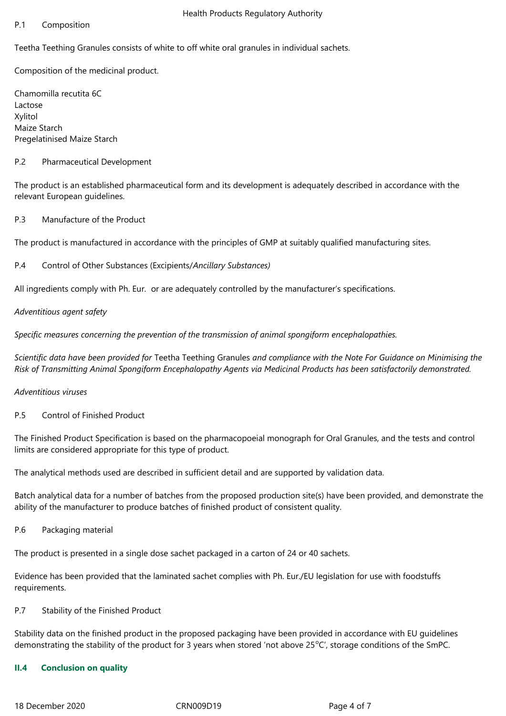### P.1 Composition

Teetha Teething Granules consists of white to off white oral granules in individual sachets.

Composition of the medicinal product.

Chamomilla recutita 6C Lactose Xylitol Maize Starch Pregelatinised Maize Starch

## P.2 Pharmaceutical Development

The product is an established pharmaceutical form and its development is adequately described in accordance with the relevant European guidelines.

## P.3 Manufacture of the Product

The product is manufactured in accordance with the principles of GMP at suitably qualified manufacturing sites.

## P.4 Control of Other Substances (Excipients/*Ancillary Substances)*

All ingredients comply with Ph. Eur. or are adequately controlled by the manufacturer's specifications.

## *Adventitious agent safety*

*Specific measures concerning the prevention of the transmission of animal spongiform encephalopathies.*

*Scientific data have been provided for* Teetha Teething Granules *and compliance with the Note For Guidance on Minimising the Risk of Transmitting Animal Spongiform Encephalopathy Agents via Medicinal Products has been satisfactorily demonstrated.*

### *Adventitious viruses*

P.5 Control of Finished Product

The Finished Product Specification is based on the pharmacopoeial monograph for Oral Granules, and the tests and control limits are considered appropriate for this type of product.

The analytical methods used are described in sufficient detail and are supported by validation data.

Batch analytical data for a number of batches from the proposed production site(s) have been provided, and demonstrate the ability of the manufacturer to produce batches of finished product of consistent quality.

P.6 Packaging material

The product is presented in a single dose sachet packaged in a carton of 24 or 40 sachets.

Evidence has been provided that the laminated sachet complies with Ph. Eur./EU legislation for use with foodstuffs requirements.

# P.7 Stability of the Finished Product

Stability data on the finished product in the proposed packaging have been provided in accordance with EU guidelines demonstrating the stability of the product for 3 years when stored 'not above  $25^{\circ}$ C', storage conditions of the SmPC.

# **II.4 Conclusion on quality**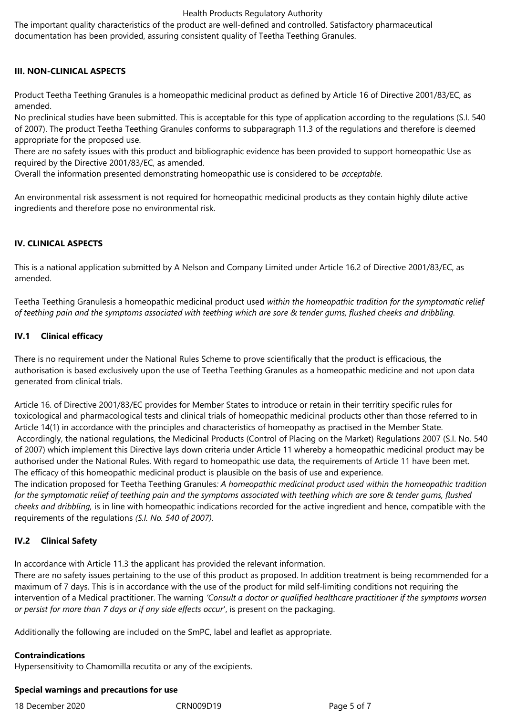### Health Products Regulatory Authority

The important quality characteristics of the product are well-defined and controlled. Satisfactory pharmaceutical documentation has been provided, assuring consistent quality of Teetha Teething Granules.

## **III. NON-CLINICAL ASPECTS**

Product Teetha Teething Granules is a homeopathic medicinal product as defined by Article 16 of Directive 2001/83/EC, as amended.

No preclinical studies have been submitted. This is acceptable for this type of application according to the regulations (S.I. 540 of 2007). The product Teetha Teething Granules conforms to subparagraph 11.3 of the regulations and therefore is deemed appropriate for the proposed use.

There are no safety issues with this product and bibliographic evidence has been provided to support homeopathic Use as required by the Directive 2001/83/EC, as amended.

Overall the information presented demonstrating homeopathic use is considered to be *acceptable*.

An environmental risk assessment is not required for homeopathic medicinal products as they contain highly dilute active ingredients and therefore pose no environmental risk.

## **IV. CLINICAL ASPECTS**

This is a national application submitted by A Nelson and Company Limited under Article 16.2 of Directive 2001/83/EC, as amended.

Teetha Teething Granulesis a homeopathic medicinal product used *within the homeopathic tradition for the symptomatic relief of teething pain and the symptoms associated with teething which are sore & tender gums, flushed cheeks and dribbling.*

## **IV.1 Clinical efficacy**

There is no requirement under the National Rules Scheme to prove scientifically that the product is efficacious, the authorisation is based exclusively upon the use of Teetha Teething Granules as a homeopathic medicine and not upon data generated from clinical trials.

Article 16. of Directive 2001/83/EC provides for Member States to introduce or retain in their territiry specific rules for toxicological and pharmacological tests and clinical trials of homeopathic medicinal products other than those referred to in Article 14(1) in accordance with the principles and characteristics of homeopathy as practised in the Member State. Accordingly, the national regulations, the Medicinal Products (Control of Placing on the Market) Regulations 2007 (S.I. No. 540 of 2007) which implement this Directive lays down criteria under Article 11 whereby a homeopathic medicinal product may be authorised under the National Rules. With regard to homeopathic use data, the requirements of Article 11 have been met. The efficacy of this homeopathic medicinal product is plausible on the basis of use and experience. The indication proposed for Teetha Teething Granules*: A homeopathic medicinal product used within the homeopathic tradition* 

*for the symptomatic relief of teething pain and the symptoms associated with teething which are sore & tender gums, flushed cheeks and dribbling,* is in line with homeopathic indications recorded for the active ingredient and hence, compatible with the requirements of the regulations *(S.I. No. 540 of 2007).* 

### **IV.2 Clinical Safety**

In accordance with Article 11.3 the applicant has provided the relevant information.

There are no safety issues pertaining to the use of this product as proposed. In addition treatment is being recommended for a maximum of 7 days. This is in accordance with the use of the product for mild self-limiting conditions not requiring the intervention of a Medical practitioner. The warning *'Consult a doctor or qualified healthcare practitioner if the symptoms worsen or persist for more than 7 days or if any side effects occur*', is present on the packaging.

Additionally the following are included on the SmPC, label and leaflet as appropriate.

### **Contraindications**

Hypersensitivity to Chamomilla recutita or any of the excipients.

### **Special warnings and precautions for use**

18 December 2020 CRN009D19 Page 5 of 7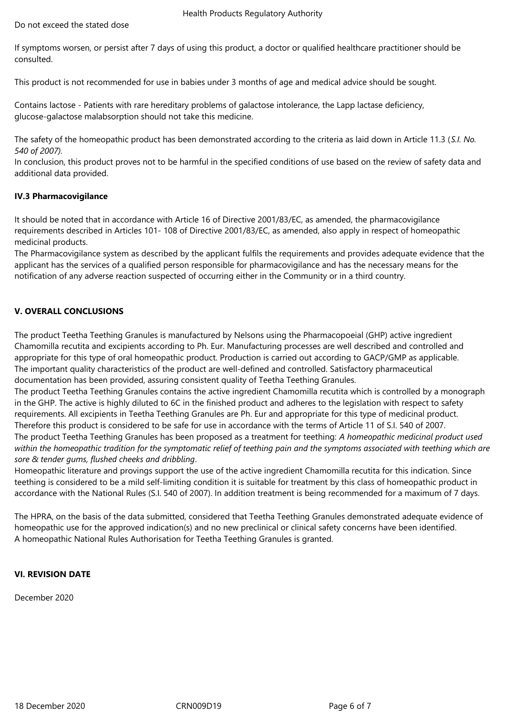If symptoms worsen, or persist after 7 days of using this product, a doctor or qualified healthcare practitioner should be consulted.

This product is not recommended for use in babies under 3 months of age and medical advice should be sought.

Contains lactose - Patients with rare hereditary problems of galactose intolerance, the Lapp lactase deficiency, glucose-galactose malabsorption should not take this medicine.

The safety of the homeopathic product has been demonstrated according to the criteria as laid down in Article 11.3 (*S.I. No. 540 of 2007).*

In conclusion, this product proves not to be harmful in the specified conditions of use based on the review of safety data and additional data provided.

# **IV.3 Pharmacovigilance**

It should be noted that in accordance with Article 16 of Directive 2001/83/EC, as amended, the pharmacovigilance requirements described in Articles 101- 108 of Directive 2001/83/EC, as amended, also apply in respect of homeopathic medicinal products.

The Pharmacovigilance system as described by the applicant fulfils the requirements and provides adequate evidence that the applicant has the services of a qualified person responsible for pharmacovigilance and has the necessary means for the notification of any adverse reaction suspected of occurring either in the Community or in a third country.

# **V. OVERALL CONCLUSIONS**

The product Teetha Teething Granules is manufactured by Nelsons using the Pharmacopoeial (GHP) active ingredient Chamomilla recutita and excipients according to Ph. Eur. Manufacturing processes are well described and controlled and appropriate for this type of oral homeopathic product. Production is carried out according to GACP/GMP as applicable. The important quality characteristics of the product are well-defined and controlled. Satisfactory pharmaceutical documentation has been provided, assuring consistent quality of Teetha Teething Granules.

The product Teetha Teething Granules contains the active ingredient Chamomilla recutita which is controlled by a monograph in the GHP. The active is highly diluted to 6C in the finished product and adheres to the legislation with respect to safety requirements. All excipients in Teetha Teething Granules are Ph. Eur and appropriate for this type of medicinal product. Therefore this product is considered to be safe for use in accordance with the terms of Article 11 of S.I. 540 of 2007. The product Teetha Teething Granules has been proposed as a treatment for teething: *A homeopathic medicinal product used within the homeopathic tradition for the symptomatic relief of teething pain and the symptoms associated with teething which are sore & tender gums, flushed cheeks and dribbling*.

Homeopathic literature and provings support the use of the active ingredient Chamomilla recutita for this indication. Since teething is considered to be a mild self-limiting condition it is suitable for treatment by this class of homeopathic product in accordance with the National Rules (S.I. 540 of 2007). In addition treatment is being recommended for a maximum of 7 days.

The HPRA, on the basis of the data submitted, considered that Teetha Teething Granules demonstrated adequate evidence of homeopathic use for the approved indication(s) and no new preclinical or clinical safety concerns have been identified. A homeopathic National Rules Authorisation for Teetha Teething Granules is granted.

# **VI. REVISION DATE**

December 2020